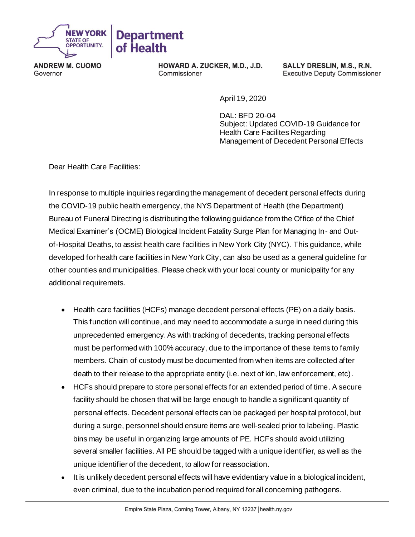

**ANDREW M. CUOMO** Governor

HOWARD A. ZUCKER, M.D., J.D. Commissioner

SALLY DRESLIN, M.S., R.N. **Executive Deputy Commissioner** 

April 19, 2020

DAL: BFD 20-04 Subject: Updated COVID-19 Guidance for Health Care Facilites Regarding Management of Decedent Personal Effects

Dear Health Care Facilities:

In response to multiple inquiries regarding the management of decedent personal effects during the COVID-19 public health emergency, the NYS Department of Health (the Department) Bureau of Funeral Directing is distributing the following guidance from the Office of the Chief Medical Examiner's (OCME) Biological Incident Fatality Surge Plan for Managing In- and Outof-Hospital Deaths, to assist health care facilities in New York City (NYC). This guidance, while developed for health care facilities in New York City, can also be used as a general guideline for other counties and municipalities. Please check with your local county or municipality for any additional requiremets.

- Health care facilities (HCFs) manage decedent personal effects (PE) on a daily basis. This function will continue, and may need to accommodate a surge in need during this unprecedented emergency. As with tracking of decedents, tracking personal effects must be performed with 100% accuracy, due to the importance of these items to family members. Chain of custody must be documented from when items are collected after death to their release to the appropriate entity (i.e. next of kin, law enforcement, etc).
- HCFs should prepare to store personal effects for an extended period of time. A secure facility should be chosen that will be large enough to handle a significant quantity of personal effects. Decedent personal effects can be packaged per hospital protocol, but during a surge, personnel should ensure items are well-sealed prior to labeling. Plastic bins may be useful in organizing large amounts of PE. HCFs should avoid utilizing several smaller facilities. All PE should be tagged with a unique identifier, as well as the unique identifier of the decedent, to allow for reassociation.
- It is unlikely decedent personal effects will have evidentiary value in a biological incident, even criminal, due to the incubation period required for all concerning pathogens.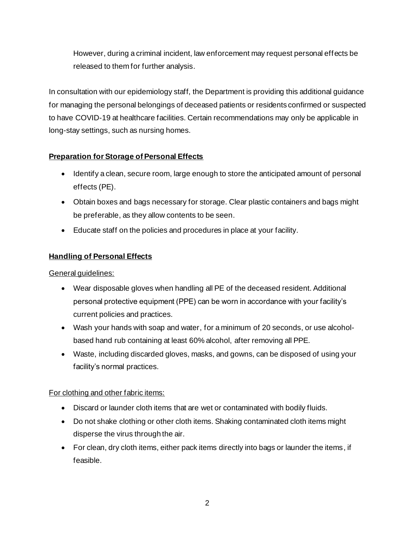However, during a criminal incident, law enforcement may request personal effects be released to them for further analysis.

In consultation with our epidemiology staff, the Department is providing this additional guidance for managing the personal belongings of deceased patients or residents confirmed or suspected to have COVID-19 at healthcare facilities. Certain recommendations may only be applicable in long-stay settings, such as nursing homes.

# **Preparation for Storage of Personal Effects**

- Identify a clean, secure room, large enough to store the anticipated amount of personal effects (PE).
- Obtain boxes and bags necessary for storage. Clear plastic containers and bags might be preferable, as they allow contents to be seen.
- Educate staff on the policies and procedures in place at your facility.

# **Handling of Personal Effects**

General guidelines:

- Wear disposable gloves when handling all PE of the deceased resident. Additional personal protective equipment (PPE) can be worn in accordance with your facility's current policies and practices.
- Wash your hands with soap and water, for a minimum of 20 seconds, or use alcoholbased hand rub containing at least 60% alcohol, after removing all PPE.
- Waste, including discarded gloves, masks, and gowns, can be disposed of using your facility's normal practices.

# For clothing and other fabric items:

- Discard or launder cloth items that are wet or contaminated with bodily fluids.
- Do not shake clothing or other cloth items. Shaking contaminated cloth items might disperse the virus through the air.
- For clean, dry cloth items, either pack items directly into bags or launder the items, if feasible.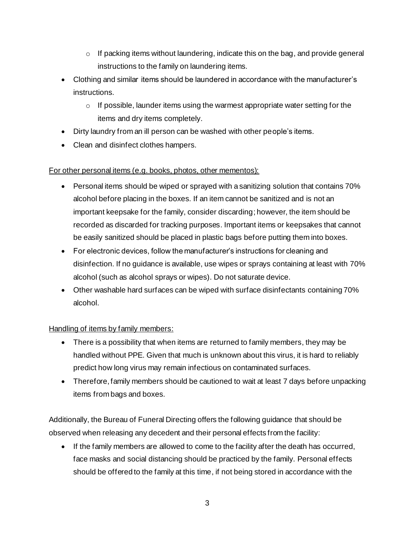- $\circ$  If packing items without laundering, indicate this on the bag, and provide general instructions to the family on laundering items.
- Clothing and similar items should be laundered in accordance with the manufacturer's instructions.
	- $\circ$  If possible, launder items using the warmest appropriate water setting for the items and dry items completely.
- Dirty laundry from an ill person can be washed with other people's items.
- Clean and disinfect clothes hampers.

## For other personal items (e.g. books, photos, other mementos):

- Personal items should be wiped or sprayed with a sanitizing solution that contains 70% alcohol before placing in the boxes. If an item cannot be sanitized and is not an important keepsake for the family, consider discarding; however, the item should be recorded as discarded for tracking purposes. Important items or keepsakes that cannot be easily sanitized should be placed in plastic bags before putting them into boxes.
- For electronic devices, follow the manufacturer's instructions for cleaning and disinfection. If no guidance is available, use wipes or sprays containing at least with 70% alcohol (such as alcohol sprays or wipes). Do not saturate device.
- Other washable hard surfaces can be wiped with surface disinfectants containing 70% alcohol.

## Handling of items by family members:

- There is a possibility that when items are returned to family members, they may be handled without PPE. Given that much is unknown about this virus, it is hard to reliably predict how long virus may remain infectious on contaminated surfaces.
- Therefore, family members should be cautioned to wait at least 7 days before unpacking items from bags and boxes.

Additionally, the Bureau of Funeral Directing offers the following guidance that should be observed when releasing any decedent and their personal effects from the facility:

• If the family members are allowed to come to the facility after the death has occurred, face masks and social distancing should be practiced by the family. Personal effects should be offered to the family at this time, if not being stored in accordance with the